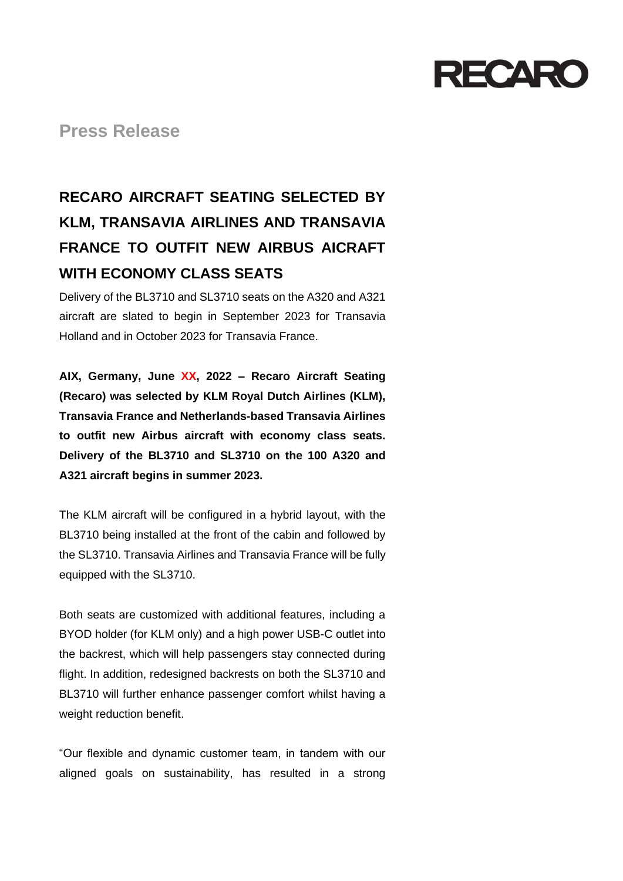

**Press Release**

# **RECARO AIRCRAFT SEATING SELECTED BY KLM, TRANSAVIA AIRLINES AND TRANSAVIA FRANCE TO OUTFIT NEW AIRBUS AICRAFT WITH ECONOMY CLASS SEATS**

Delivery of the BL3710 and SL3710 seats on the A320 and A321 aircraft are slated to begin in September 2023 for Transavia Holland and in October 2023 for Transavia France.

**AIX, Germany, June XX, 2022 – Recaro Aircraft Seating (Recaro) was selected by KLM Royal Dutch Airlines (KLM), Transavia France and Netherlands-based Transavia Airlines to outfit new Airbus aircraft with economy class seats. Delivery of the BL3710 and SL3710 on the 100 A320 and A321 aircraft begins in summer 2023.**

The KLM aircraft will be configured in a hybrid layout, with the BL3710 being installed at the front of the cabin and followed by the SL3710. Transavia Airlines and Transavia France will be fully equipped with the SL3710.

Both seats are customized with additional features, including a BYOD holder (for KLM only) and a high power USB-C outlet into the backrest, which will help passengers stay connected during flight. In addition, redesigned backrests on both the SL3710 and BL3710 will further enhance passenger comfort whilst having a weight reduction benefit.

"Our flexible and dynamic customer team, in tandem with our aligned goals on sustainability, has resulted in a strong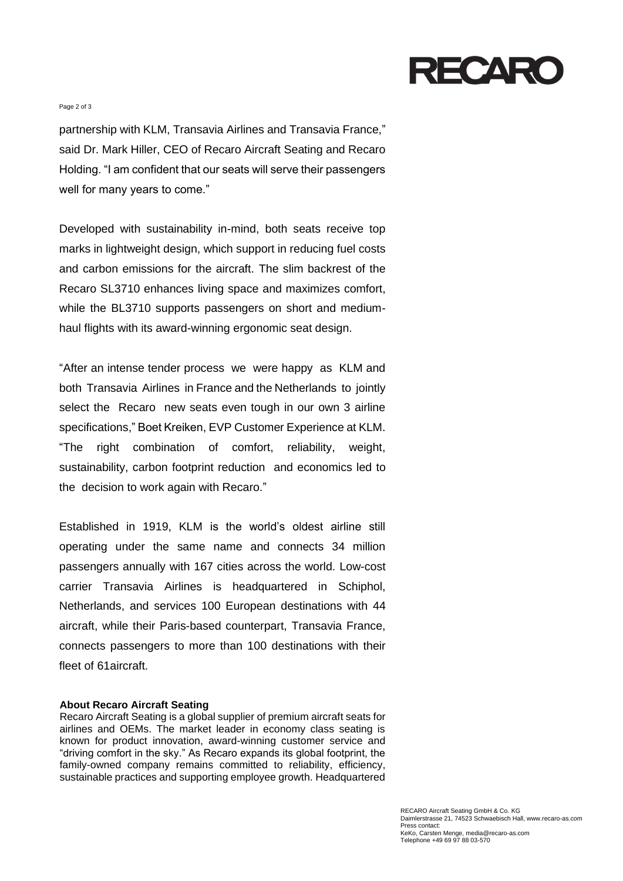# RECARC

#### Page 2 of 3

partnership with KLM, Transavia Airlines and Transavia France," said Dr. Mark Hiller, CEO of Recaro Aircraft Seating and Recaro Holding. "I am confident that our seats will serve their passengers well for many years to come."

Developed with sustainability in-mind, both seats receive top marks in lightweight design, which support in reducing fuel costs and carbon emissions for the aircraft. The slim backrest of the Recaro SL3710 enhances living space and maximizes comfort, while the BL3710 supports passengers on short and mediumhaul flights with its award-winning ergonomic seat design.

"After an intense tender process we were happy as KLM and both Transavia Airlines in France and the Netherlands to jointly select the Recaro new seats even tough in our own 3 airline specifications," Boet Kreiken, EVP Customer Experience at KLM. "The right combination of comfort, reliability, weight, sustainability, carbon footprint reduction and economics led to the decision to work again with Recaro."

Established in 1919, KLM is the world's oldest airline still operating under the same name and connects 34 million passengers annually with 167 cities across the world. Low-cost carrier Transavia Airlines is headquartered in Schiphol, Netherlands, and services 100 European destinations with 44 aircraft, while their Paris-based counterpart, Transavia France, connects passengers to more than 100 destinations with their fleet of 61aircraft.

### **About Recaro Aircraft Seating**

Recaro Aircraft Seating is a global supplier of premium aircraft seats for airlines and OEMs. The market leader in economy class seating is known for product innovation, award-winning customer service and "driving comfort in the sky." As Recaro expands its global footprint, the family-owned company remains committed to reliability, efficiency, sustainable practices and supporting employee growth. Headquartered